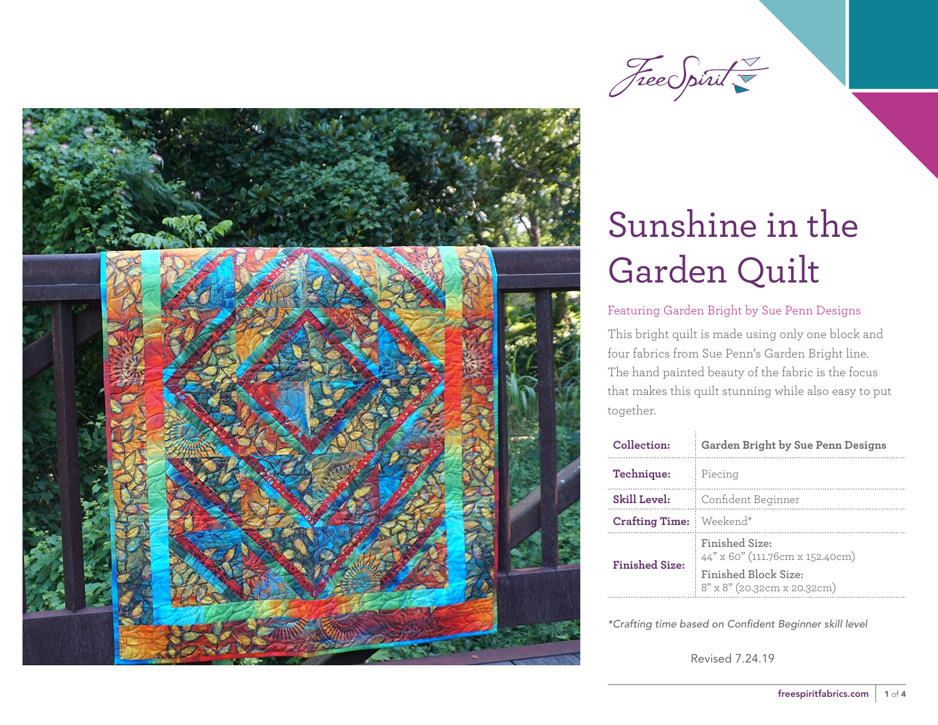



### Featuring Garden Bright by Sue Penn Designs

This bright quilt is made using only one block and four fabrics from Sue Penn's Garden Bright line. The hand painted beauty of the fabric is the focus that makes this quilt stunning while also easy to put together.

| Collection:           | Garden Bright by Sue Penn Designs                   |  |
|-----------------------|-----------------------------------------------------|--|
| Technique:            | Piecing                                             |  |
| Skill Level:          | Confident Beginner                                  |  |
| <b>Crafting Time:</b> | Weekend*                                            |  |
| <b>Finished Size:</b> | Finished Size:<br>44" x 60" (111.76cm x 152.40cm)   |  |
|                       | Finished Block Size:<br>8" x 8" (20.32cm x 20.32cm) |  |

*\*Crafting time based on Confident Beginner skill level*

Revised 7.24.19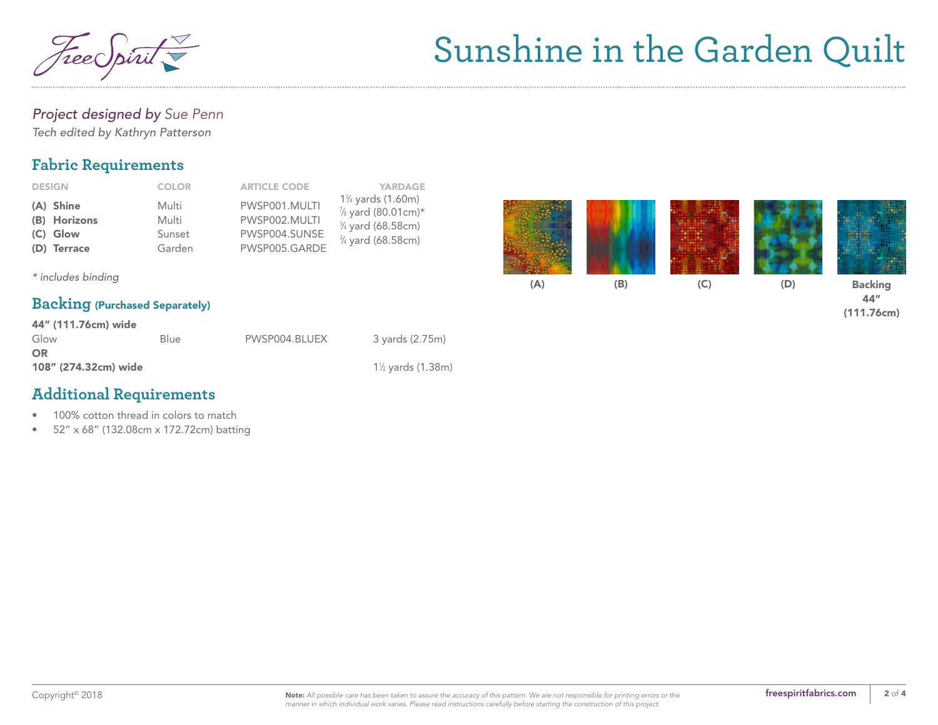

### *Project designed by Sue Penn*

*Tech edited by Kathryn Patterson*

## **Fabric Requirements**

| <b>DESIGN</b> | <b>COLOR</b> | <b>ARTICLE CODE</b> | <b>YARDAGE</b>               |
|---------------|--------------|---------------------|------------------------------|
| (A) Shine     | Multi        | PWSP001.MULTI       | $1\%$ yards (1.60m)          |
| (B) Horizons  | Multi        | PWSP002.MULTI       | 1/8 yard (80.01cm)*          |
| (C) Glow      | Sunset       | PWSP004.SUNSE       | 3/4 yard (68.58cm)           |
| (D) Terrace   | Garden       | PWSP005.GARDE       | $\frac{3}{4}$ yard (68.58cm) |



44" (111.76cm)

*\* includes binding*

### **Backing** (Purchased Separately)

| 44" (111.76cm) wide  |      |               |                                             |  |  |  |
|----------------------|------|---------------|---------------------------------------------|--|--|--|
| Glow                 | Blue | PWSP004.BLUEX | 3 yards (2.75m)                             |  |  |  |
| OR                   |      |               |                                             |  |  |  |
| 108" (274.32cm) wide |      |               | 1 <sup>1</sup> / <sub>2</sub> yards (1.38m) |  |  |  |

## **Additional Requirements**

- 100% cotton thread in colors to match
- 52" x 68" (132.08cm x 172.72cm) batting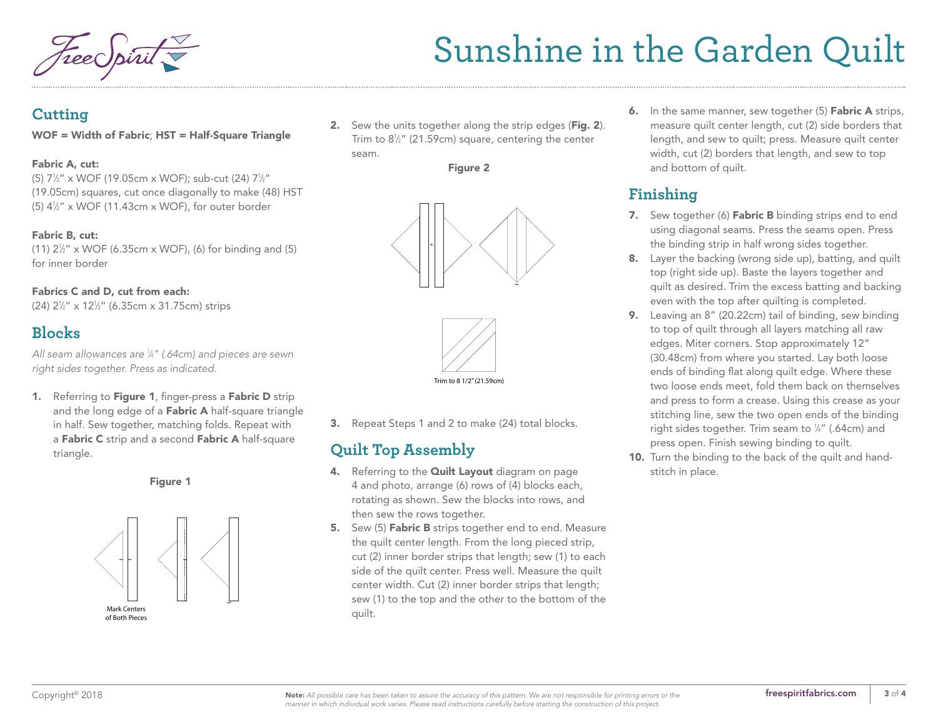### **Cutting**

#### WOF = Width of Fabric; HST = Half-Square Triangle

#### Fabric A, cut:

(5) 71 ⁄2" x WOF (19.05cm x WOF); sub-cut (24) 71 ⁄2" (19.05cm) squares, cut once diagonally to make (48) HST  $(5)$  4 $\frac{1}{2}$ " x WOF (11.43cm x WOF), for outer border

#### Fabric B, cut:

(11)  $2\frac{1}{2}$ " x WOF (6.35cm x WOF), (6) for binding and (5) for inner border

#### Fabrics C and D, cut from each:

(24) 21 ⁄2" x 121 ⁄2" (6.35cm x 31.75cm) strips

## **Blocks**

*All seam allowances are 1 ⁄4" (.64cm) and pieces are sewn right sides together. Press as indicated.*

1. Referring to Figure 1, finger-press a Fabric D strip and the long edge of a Fabric A half-square triangle in half. Sew together, matching folds. Repeat with a Fabric C strip and a second Fabric A half-square triangle.

Figure 1



**2.** Sew the units together along the strip edges (Fig. 2). Trim to 8½" (21.59cm) square, centering the center seam.







3. Repeat Steps 1 and 2 to make (24) total blocks.

## **Quilt Top Assembly**

- 4. Referring to the **Quilt Layout** [diagram on page](#page-3-0) [4](#page-3-0) and photo, arrange (6) rows of (4) blocks each, rotating as shown. Sew the blocks into rows, and then sew the rows together.
- 5. Sew (5) Fabric B strips together end to end. Measure the quilt center length. From the long pieced strip, cut (2) inner border strips that length; sew (1) to each side of the quilt center. Press well. Measure the quilt center width. Cut (2) inner border strips that length; sew (1) to the top and the other to the bottom of the quilt.

6. In the same manner, sew together (5) Fabric A strips, measure quilt center length, cut (2) side borders that length, and sew to quilt; press. Measure quilt center width, cut (2) borders that length, and sew to top and bottom of quilt.

## **Finishing**

- 7. Sew together (6) Fabric B binding strips end to end using diagonal seams. Press the seams open. Press the binding strip in half wrong sides together.
- 8. Layer the backing (wrong side up), batting, and quilt top (right side up). Baste the layers together and quilt as desired. Trim the excess batting and backing even with the top after quilting is completed.
- 9. Leaving an 8" (20.22cm) tail of binding, sew binding to top of quilt through all layers matching all raw edges. Miter corners. Stop approximately 12" (30.48cm) from where you started. Lay both loose ends of binding flat along quilt edge. Where these two loose ends meet, fold them back on themselves and press to form a crease. Using this crease as your stitching line, sew the two open ends of the binding right sides together. Trim seam to  $\mathrm{\%}''$  (.64cm) and press open. Finish sewing binding to quilt.
- 10. Turn the binding to the back of the quilt and handstitch in place.